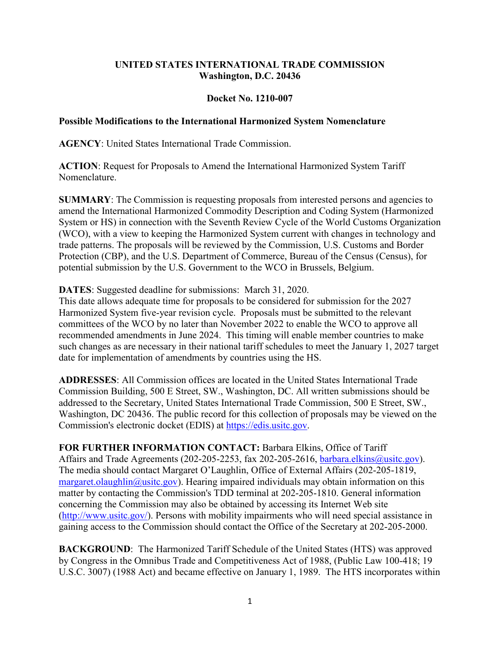## **UNITED STATES INTERNATIONAL TRADE COMMISSION Washington, D.C. 20436**

## **Docket No. 1210-007**

## **Possible Modifications to the International Harmonized System Nomenclature**

**AGENCY**: United States International Trade Commission.

**ACTION**: Request for Proposals to Amend the International Harmonized System Tariff Nomenclature.

**SUMMARY**: The Commission is requesting proposals from interested persons and agencies to amend the International Harmonized Commodity Description and Coding System (Harmonized System or HS) in connection with the Seventh Review Cycle of the World Customs Organization (WCO), with a view to keeping the Harmonized System current with changes in technology and trade patterns. The proposals will be reviewed by the Commission, U.S. Customs and Border Protection (CBP), and the U.S. Department of Commerce, Bureau of the Census (Census), for potential submission by the U.S. Government to the WCO in Brussels, Belgium.

## **DATES**: Suggested deadline for submissions: March 31, 2020.

This date allows adequate time for proposals to be considered for submission for the 2027 Harmonized System five-year revision cycle. Proposals must be submitted to the relevant committees of the WCO by no later than November 2022 to enable the WCO to approve all recommended amendments in June 2024. This timing will enable member countries to make such changes as are necessary in their national tariff schedules to meet the January 1, 2027 target date for implementation of amendments by countries using the HS.

**ADDRESSES**: All Commission offices are located in the United States International Trade Commission Building, 500 E Street, SW., Washington, DC. All written submissions should be addressed to the Secretary, United States International Trade Commission, 500 E Street, SW., Washington, DC 20436. The public record for this collection of proposals may be viewed on the Commission's electronic docket (EDIS) at [https://edis.usitc.gov.](https://edis.usitc.gov/)

**FOR FURTHER INFORMATION CONTACT:** Barbara Elkins, Office of Tariff Affairs and Trade Agreements (202-205-2253, fax 202-205-2616, [barbara.elkins@usitc.gov\)](mailto:barbara.elkins@usitc.gov). The media should contact Margaret O'Laughlin, Office of External Affairs (202-205-1819, [margaret.olaughlin@usitc.gov\)](mailto:margaret.olaughlin@usitc.gov). Hearing impaired individuals may obtain information on this matter by contacting the Commission's TDD terminal at 202-205-1810. General information concerning the Commission may also be obtained by accessing its Internet Web site [\(http://www.usitc.gov/\)](http://www.usitc.gov/). Persons with mobility impairments who will need special assistance in gaining access to the Commission should contact the Office of the Secretary at 202-205-2000.

**BACKGROUND:** The Harmonized Tariff Schedule of the United States (HTS) was approved by Congress in the Omnibus Trade and Competitiveness Act of 1988, (Public Law 100‐418; 19 U.S.C. 3007) (1988 Act) and became effective on January 1, 1989. The HTS incorporates within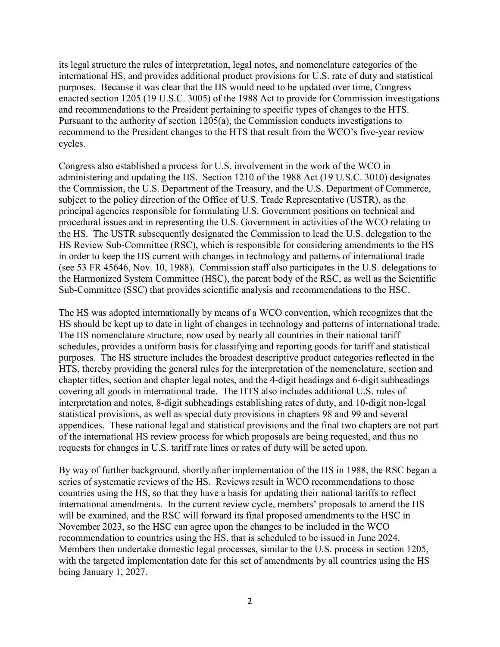its legal structure the rules of interpretation, legal notes, and nomenclature categories of the international HS, and provides additional product provisions for U.S. rate of duty and statistical purposes. Because it was clear that the HS would need to be updated over time, Congress enacted section 1205 (19 U.S.C. 3005) of the 1988 Act to provide for Commission investigations and recommendations to the President pertaining to specific types of changes to the HTS. Pursuant to the authority of section 1205(a), the Commission conducts investigations to recommend to the President changes to the HTS that result from the WCO's five-year review cycles.

Congress also established a process for U.S. involvement in the work of the WCO in administering and updating the HS. Section 1210 of the 1988 Act (19 U.S.C. 3010) designates the Commission, the U.S. Department of the Treasury, and the U.S. Department of Commerce, subject to the policy direction of the Office of U.S. Trade Representative (USTR), as the principal agencies responsible for formulating U.S. Government positions on technical and procedural issues and in representing the U.S. Government in activities of the WCO relating to the HS. The USTR subsequently designated the Commission to lead the U.S. delegation to the HS Review Sub-Committee (RSC), which is responsible for considering amendments to the HS in order to keep the HS current with changes in technology and patterns of international trade (see 53 FR 45646, Nov. 10, 1988). Commission staff also participates in the U.S. delegations to the Harmonized System Committee (HSC), the parent body of the RSC, as well as the Scientific Sub-Committee (SSC) that provides scientific analysis and recommendations to the HSC.

The HS was adopted internationally by means of a WCO convention, which recognizes that the HS should be kept up to date in light of changes in technology and patterns of international trade. The HS nomenclature structure, now used by nearly all countries in their national tariff schedules, provides a uniform basis for classifying and reporting goods for tariff and statistical purposes. The HS structure includes the broadest descriptive product categories reflected in the HTS, thereby providing the general rules for the interpretation of the nomenclature, section and chapter titles, section and chapter legal notes, and the 4-digit headings and 6-digit subheadings covering all goods in international trade. The HTS also includes additional U.S. rules of interpretation and notes, 8-digit subheadings establishing rates of duty, and 10-digit non-legal statistical provisions, as well as special duty provisions in chapters 98 and 99 and several appendices. These national legal and statistical provisions and the final two chapters are not part of the international HS review process for which proposals are being requested, and thus no requests for changes in U.S. tariff rate lines or rates of duty will be acted upon.

By way of further background, shortly after implementation of the HS in 1988, the RSC began a series of systematic reviews of the HS. Reviews result in WCO recommendations to those countries using the HS, so that they have a basis for updating their national tariffs to reflect international amendments. In the current review cycle, members' proposals to amend the HS will be examined, and the RSC will forward its final proposed amendments to the HSC in November 2023, so the HSC can agree upon the changes to be included in the WCO recommendation to countries using the HS, that is scheduled to be issued in June 2024. Members then undertake domestic legal processes, similar to the U.S. process in section 1205, with the targeted implementation date for this set of amendments by all countries using the HS being January 1, 2027.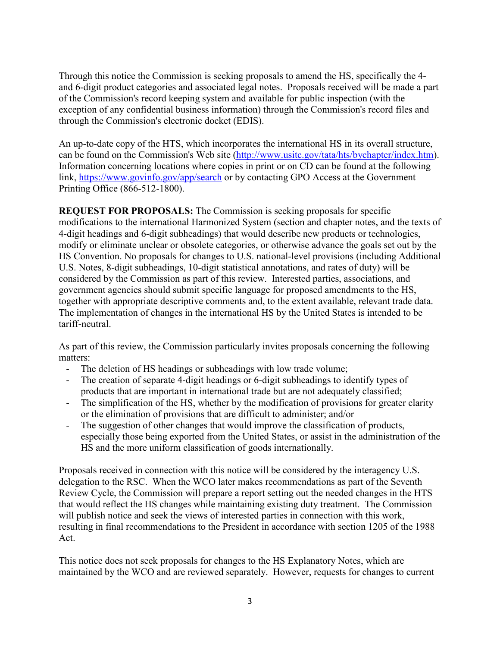Through this notice the Commission is seeking proposals to amend the HS, specifically the 4 and 6-digit product categories and associated legal notes. Proposals received will be made a part of the Commission's record keeping system and available for public inspection (with the exception of any confidential business information) through the Commission's record files and through the Commission's electronic docket (EDIS).

An up-to-date copy of the HTS, which incorporates the international HS in its overall structure, can be found on the Commission's Web site [\(http://www.usitc.gov/tata/hts/bychapter/index.htm\)](http://www.usitc.gov/tata/hts/bychapter/index.htm). Information concerning locations where copies in print or on CD can be found at the following link, <https://www.govinfo.gov/app/search> or by contacting GPO Access at the Government Printing Office (866-512-1800).

**REQUEST FOR PROPOSALS:** The Commission is seeking proposals for specific modifications to the international Harmonized System (section and chapter notes, and the texts of 4-digit headings and 6-digit subheadings) that would describe new products or technologies, modify or eliminate unclear or obsolete categories, or otherwise advance the goals set out by the HS Convention. No proposals for changes to U.S. national-level provisions (including Additional U.S. Notes, 8-digit subheadings, 10-digit statistical annotations, and rates of duty) will be considered by the Commission as part of this review. Interested parties, associations, and government agencies should submit specific language for proposed amendments to the HS, together with appropriate descriptive comments and, to the extent available, relevant trade data. The implementation of changes in the international HS by the United States is intended to be tariff-neutral.

As part of this review, the Commission particularly invites proposals concerning the following matters:

- The deletion of HS headings or subheadings with low trade volume;
- The creation of separate 4-digit headings or 6-digit subheadings to identify types of products that are important in international trade but are not adequately classified;
- The simplification of the HS, whether by the modification of provisions for greater clarity or the elimination of provisions that are difficult to administer; and/or
- The suggestion of other changes that would improve the classification of products, especially those being exported from the United States, or assist in the administration of the HS and the more uniform classification of goods internationally.

Proposals received in connection with this notice will be considered by the interagency U.S. delegation to the RSC. When the WCO later makes recommendations as part of the Seventh Review Cycle, the Commission will prepare a report setting out the needed changes in the HTS that would reflect the HS changes while maintaining existing duty treatment. The Commission will publish notice and seek the views of interested parties in connection with this work, resulting in final recommendations to the President in accordance with section 1205 of the 1988 Act.

This notice does not seek proposals for changes to the HS Explanatory Notes, which are maintained by the WCO and are reviewed separately. However, requests for changes to current